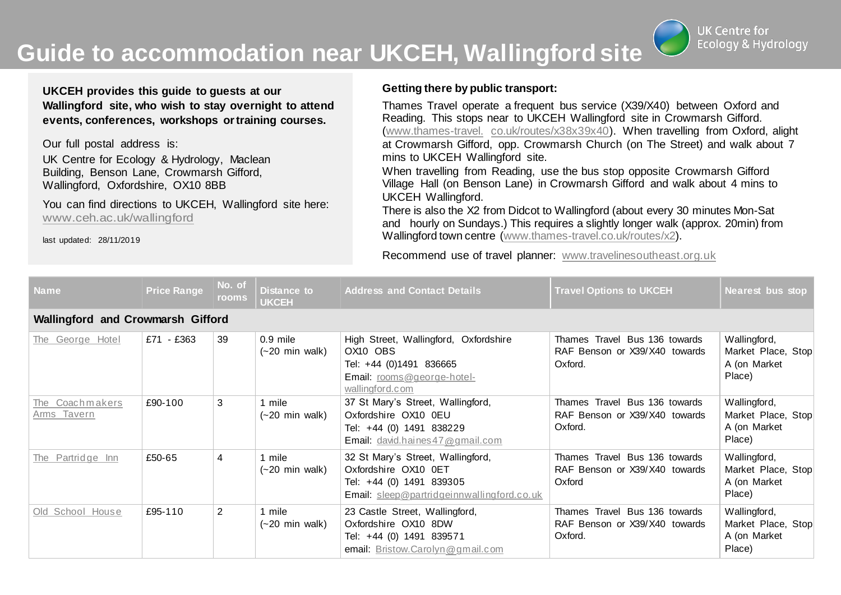**Guide to accommodation near UKCEH, Wallingford site**

**UK Centre for Ecology & Hydrology** 

**UKCEH provides this guide to guests at our Wallingford site, who wish to stay overnight to attend events, conferences, workshops ortraining courses.**

Our full postal address is:

UK Centre for Ecology & Hydrology, Maclean Building, Benson Lane, Crowmarsh Gifford, Wallingford, Oxfordshire, OX10 8BB

You can find directions to UKCEH, Wallingford site here: [www.ceh.ac.uk/wallingford](http://www.ceh.ac.uk/wallingford)

last updated: 28/11/2019

## **Getting there by public transport:**

Thames Travel operate a frequent bus service (X39/X40) between Oxford and Reading. This stops near to UKCEH Wallingford site in Crowmarsh Gifford. [\(www.thames-travel.](http://www.thames-travel.co.uk/routes/x38x39x40) [co.uk/routes/x38x39x40\).](http://www.thames-travel.co.uk/routes/x38x39x40) When travelling from Oxford, alight at Crowmarsh Gifford, opp. Crowmarsh Church (on The Street) and walk about 7 mins to UKCEH Wallingford site.

When travelling from Reading, use the bus stop opposite Crowmarsh Gifford Village Hall (on Benson Lane) in Crowmarsh Gifford and walk about 4 mins to UKCEH Wallingford.

There is also the X2 from Didcot to Wallingford (about every 30 minutes Mon-Sat and hourly on Sundays.) This requires a slightly longer walk (approx. 20min) from Wallingford town centre [\(www.thames-travel.co.uk/routes/x2\)](http://www.thames-travel.co.uk/routes/x2).

Recommend use of travel planner: [www.travelinesoutheast.org.uk](http://www.travelinesoutheast.org.uk/)

| Name                                     | <b>Price Range</b> | No. of<br><b>rooms</b> | Distance to<br><b>UKCEH</b>                    | <b>Address and Contact Details</b>                                                                                                  | <b>Travel Options to UKCEH</b>                                            | Nearest bus stop                                             |  |  |
|------------------------------------------|--------------------|------------------------|------------------------------------------------|-------------------------------------------------------------------------------------------------------------------------------------|---------------------------------------------------------------------------|--------------------------------------------------------------|--|--|
| <b>Wallingford and Crowmarsh Gifford</b> |                    |                        |                                                |                                                                                                                                     |                                                                           |                                                              |  |  |
| The George Hotel                         | £71 - £363         | 39                     | $0.9$ mile<br>$(-20 \text{ min} \text{ walk})$ | High Street, Wallingford, Oxfordshire<br>OX10 OBS<br>Tel: +44 (0)1491 836665<br>Email: rooms@george-hotel-<br>wallingford.com       | Thames Travel Bus 136 towards<br>RAF Benson or X39/X40 towards<br>Oxford. | Wallingford,<br>Market Place, Stop<br>A (on Market<br>Place) |  |  |
| The Coachmakers<br>Arms Tavern           | £90-100            | 3                      | 1 mile<br>$(-20 \text{ min} \text{ walk})$     | 37 St Mary's Street, Wallingford,<br>Oxfordshire OX10 0EU<br>Tel: +44 (0) 1491 838229<br>Email: david.haines 47@gmail.com           | Thames Travel Bus 136 towards<br>RAF Benson or X39/X40 towards<br>Oxford. | Wallingford,<br>Market Place, Stop<br>A (on Market<br>Place) |  |  |
| The Partridge Inn                        | £50-65             | 4                      | 1 mile<br>$(-20 \text{ min} \text{ walk})$     | 32 St Mary's Street, Wallingford,<br>Oxfordshire OX10 0ET<br>Tel: +44 (0) 1491 839305<br>Email: sleep@partridgeinnwallingford.co.uk | Thames Travel Bus 136 towards<br>RAF Benson or X39/X40 towards<br>Oxford  | Wallingford,<br>Market Place, Stop<br>A (on Market<br>Place) |  |  |
| Old School House                         | £95-110            | $\overline{2}$         | 1 mile<br>$(-20 \text{ min} \text{ walk})$     | 23 Castle Street, Wallingford,<br>Oxfordshire OX10 8DW<br>Tel: +44 (0) 1491 839571<br>email: Bristow.Carolyn@gmail.com              | Thames Travel Bus 136 towards<br>RAF Benson or X39/X40 towards<br>Oxford. | Wallingford,<br>Market Place, Stop<br>A (on Market<br>Place) |  |  |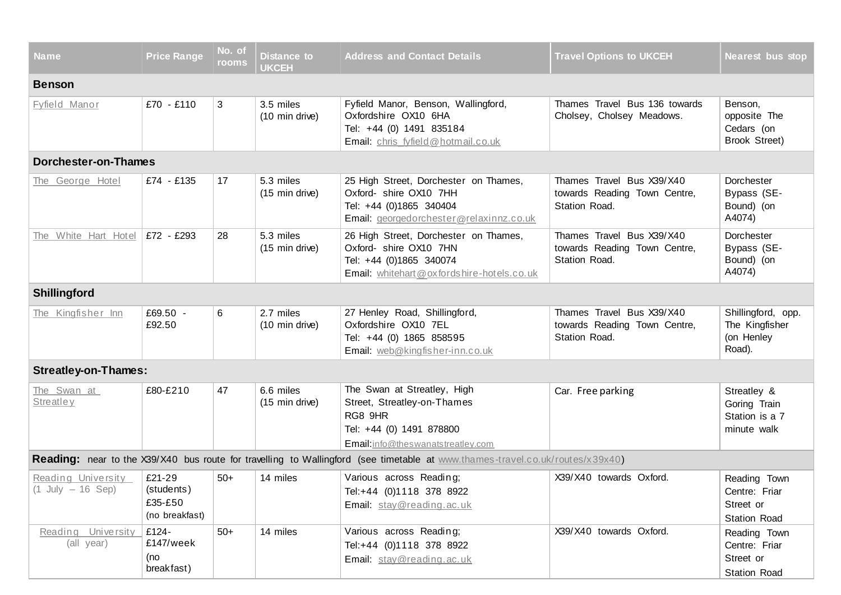| Name                                                                                                                          | <b>Price Range</b>                                | No. of<br>rooms | <b>Distance to</b><br><b>UKCEH</b> | <b>Address and Contact Details</b>                                                                                                      | <b>Travel Options to UKCEH</b>                                             | <b>Nearest bus stop</b>                                           |  |  |
|-------------------------------------------------------------------------------------------------------------------------------|---------------------------------------------------|-----------------|------------------------------------|-----------------------------------------------------------------------------------------------------------------------------------------|----------------------------------------------------------------------------|-------------------------------------------------------------------|--|--|
| <b>Benson</b>                                                                                                                 |                                                   |                 |                                    |                                                                                                                                         |                                                                            |                                                                   |  |  |
| Fyfield Manor                                                                                                                 | £70 - £110                                        | 3               | 3.5 miles<br>(10 min drive)        | Fyfield Manor, Benson, Wallingford,<br>Oxfordshire OX10 6HA<br>Tel: +44 (0) 1491 835184<br>Email: chris fyfield@hotmail.co.uk           | Thames Travel Bus 136 towards<br>Cholsey, Cholsey Meadows.                 | Benson,<br>opposite The<br>Cedars (on<br>Brook Street)            |  |  |
| Dorchester-on-Thames                                                                                                          |                                                   |                 |                                    |                                                                                                                                         |                                                                            |                                                                   |  |  |
| The George Hotel                                                                                                              | £74 - £135                                        | 17              | 5.3 miles<br>(15 min drive)        | 25 High Street, Dorchester on Thames,<br>Oxford- shire OX10 7HH<br>Tel: +44 (0)1865 340404<br>Email: georgedorchester@relaxinnz.co.uk   | Thames Travel Bus X39/X40<br>towards Reading Town Centre,<br>Station Road. | Dorchester<br>Bypass (SE-<br>Bound) (on<br>A4074)                 |  |  |
| The White Hart Hotel                                                                                                          | £72 - £293                                        | 28              | 5.3 miles<br>(15 min drive)        | 26 High Street, Dorchester on Thames,<br>Oxford- shire OX10 7HN<br>Tel: +44 (0)1865 340074<br>Email: whitehart@oxfordshire-hotels.co.uk | Thames Travel Bus X39/X40<br>towards Reading Town Centre,<br>Station Road. | Dorchester<br>Bypass (SE-<br>Bound) (on<br>A4074)                 |  |  |
| Shillingford                                                                                                                  |                                                   |                 |                                    |                                                                                                                                         |                                                                            |                                                                   |  |  |
| The Kingfisher Inn                                                                                                            | £69.50 -<br>£92.50                                | 6               | 2.7 miles<br>(10 min drive)        | 27 Henley Road, Shillingford,<br>Oxfordshire OX10 7EL<br>Tel: +44 (0) 1865 858595<br>Email: web@kingfisher-inn.co.uk                    | Thames Travel Bus X39/X40<br>towards Reading Town Centre,<br>Station Road. | Shillingford, opp.<br>The Kingfisher<br>(on Henley<br>Road).      |  |  |
| <b>Streatley-on-Thames:</b>                                                                                                   |                                                   |                 |                                    |                                                                                                                                         |                                                                            |                                                                   |  |  |
| The Swan at<br><b>Streatley</b>                                                                                               | £80-£210                                          | 47              | 6.6 miles<br>(15 min drive)        | The Swan at Streatley, High<br>Street, Streatley-on-Thames<br>RG8 9HR<br>Tel: +44 (0) 1491 878800<br>Email:info@theswanatstreatley.com  | Car. Free parking                                                          | Streatley &<br>Goring Train<br>Station is a 7<br>minute walk      |  |  |
| Reading: near to the X39/X40 bus route for travelling to Wallingford (see timetable at www.thames-travel.co.uk/routes/x39x40) |                                                   |                 |                                    |                                                                                                                                         |                                                                            |                                                                   |  |  |
| Reading University<br>$(1$ July $- 16$ Sep)                                                                                   | £21-29<br>(students)<br>£35-£50<br>(no breakfast) | $50+$           | 14 miles                           | Various across Reading;<br>Tel:+44 (0)1118 378 8922<br>Email: stay@reading.ac.uk                                                        | X39/X40 towards Oxford.                                                    | Reading Town<br>Centre: Friar<br>Street or<br><b>Station Road</b> |  |  |
| Reading University<br>(all year)                                                                                              | £124-<br>£147/week<br>(no<br>breakfast)           | $50+$           | 14 miles                           | Various across Reading;<br>Tel:+44 (0)1118 378 8922<br>Email: stay@reading.ac.uk                                                        | X39/X40 towards Oxford.                                                    | Reading Town<br>Centre: Friar<br>Street or<br><b>Station Road</b> |  |  |